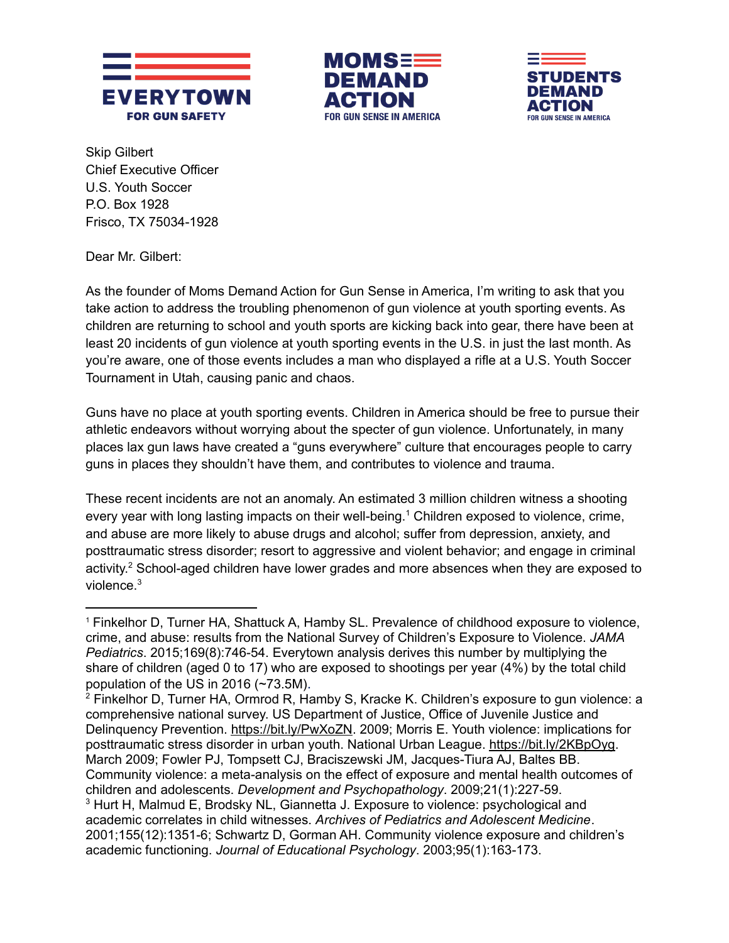





Skip Gilbert Chief Executive Officer U.S. Youth Soccer P.O. Box 1928 Frisco, TX 75034-1928

Dear Mr. Gilbert:

As the founder of Moms Demand Action for Gun Sense in America, I'm writing to ask that you take action to address the troubling phenomenon of gun violence at youth sporting events. As children are returning to school and youth sports are kicking back into gear, there have been at least 20 incidents of gun violence at youth sporting events in the U.S. in just the last month. As you're aware, one of those events includes a man who displayed a rifle at a U.S. Youth Soccer Tournament in Utah, causing panic and chaos.

Guns have no place at youth sporting events. Children in America should be free to pursue their athletic endeavors without worrying about the specter of gun violence. Unfortunately, in many places lax gun laws have created a "guns everywhere" culture that encourages people to carry guns in places they shouldn't have them, and contributes to violence and trauma.

These recent incidents are not an anomaly. An estimated 3 million children witness a shooting every year with long lasting impacts on their well-being.<sup>1</sup> Children exposed to violence, crime, and abuse are more likely to abuse drugs and alcohol; suffer from depression, anxiety, and posttraumatic stress disorder; resort to aggressive and violent behavior; and engage in criminal activity.<sup>2</sup> School-aged children have lower grades and more absences when they are exposed to violence.<sup>3</sup>

<sup>&</sup>lt;sup>1</sup> Finkelhor D, Turner HA, Shattuck A, Hamby SL. Prevalence of childhood exposure to violence, crime, and abuse: results from the National Survey of Children's Exposure to Violence. *JAMA Pediatrics*. 2015;169(8):746-54. Everytown analysis derives this number by multiplying the share of children (aged 0 to 17) who are exposed to shootings per year (4%) by the total child population of the US in 2016 (~73.5M).

<sup>3</sup> Hurt H, Malmud E, Brodsky NL, Giannetta J. Exposure to violence: psychological and academic correlates in child witnesses. *Archives of Pediatrics and Adolescent Medicine*. 2001;155(12):1351-6; Schwartz D, Gorman AH. Community violence exposure and children's academic functioning. *Journal of Educational Psychology*. 2003;95(1):163-173. <sup>2</sup> Finkelhor D, Turner HA, Ormrod R, Hamby S, Kracke K. Children's exposure to gun violence: a comprehensive national survey. US Department of Justice, Office of Juvenile Justice and Delinquency Prevention.<https://bit.ly/PwXoZN>. 2009; Morris E. Youth violence: implications for posttraumatic stress disorder in urban youth. National Urban League.<https://bit.ly/2KBpOyg.> March 2009; Fowler PJ, Tompsett CJ, Braciszewski JM, Jacques-Tiura AJ, Baltes BB. Community violence: a meta-analysis on the effect of exposure and mental health outcomes of children and adolescents. *Development and Psychopathology*. 2009;21(1):227-59.